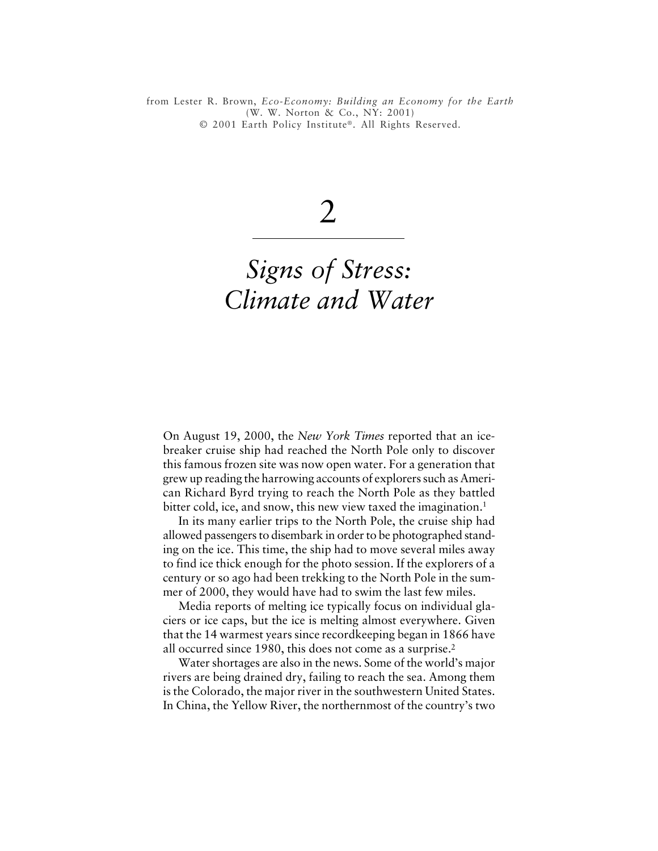*Signs of Stress: Climate and Water 27* © 2001 Earth Policy Institute®. All Rights Reserved.from Lester R. Brown, *Eco-Economy: Building an Economy for the Earth* (W. W. Norton & Co., NY: 2001)

2

# *Signs of Stress: Climate and Water*

On August 19, 2000, the *New York Times* reported that an icebreaker cruise ship had reached the North Pole only to discover this famous frozen site was now open water. For a generation that grew up reading the harrowing accounts of explorers such as American Richard Byrd trying to reach the North Pole as they battled bitter cold, ice, and snow, this new view taxed the imagination.<sup>1</sup>

In its many earlier trips to the North Pole, the cruise ship had allowed passengers to disembark in order to be photographed standing on the ice. This time, the ship had to move several miles away to find ice thick enough for the photo session. If the explorers of a century or so ago had been trekking to the North Pole in the summer of 2000, they would have had to swim the last few miles.

Media reports of melting ice typically focus on individual glaciers or ice caps, but the ice is melting almost everywhere. Given that the 14 warmest years since recordkeeping began in 1866 have all occurred since 1980, this does not come as a surprise.<sup>2</sup>

Water shortages are also in the news. Some of the world's major rivers are being drained dry, failing to reach the sea. Among them is the Colorado, the major river in the southwestern United States. In China, the Yellow River, the northernmost of the country's two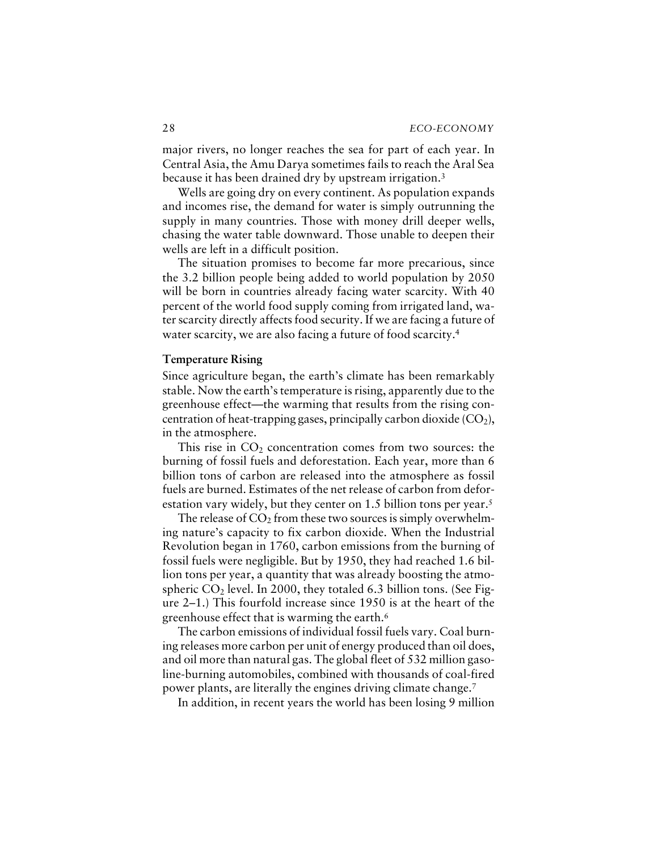major rivers, no longer reaches the sea for part of each year. In Central Asia, the Amu Darya sometimes fails to reach the Aral Sea because it has been drained dry by upstream irrigation.<sup>3</sup>

Wells are going dry on every continent. As population expands and incomes rise, the demand for water is simply outrunning the supply in many countries. Those with money drill deeper wells, chasing the water table downward. Those unable to deepen their wells are left in a difficult position.

The situation promises to become far more precarious, since the 3.2 billion people being added to world population by 2050 will be born in countries already facing water scarcity. With 40 percent of the world food supply coming from irrigated land, water scarcity directly affects food security. If we are facing a future of water scarcity, we are also facing a future of food scarcity.<sup>4</sup>

# **Temperature Rising**

Since agriculture began, the earth's climate has been remarkably stable. Now the earth's temperature is rising, apparently due to the greenhouse effect—the warming that results from the rising concentration of heat-trapping gases, principally carbon dioxide  $(CO<sub>2</sub>)$ , in the atmosphere.

This rise in  $CO<sub>2</sub>$  concentration comes from two sources: the burning of fossil fuels and deforestation. Each year, more than 6 billion tons of carbon are released into the atmosphere as fossil fuels are burned. Estimates of the net release of carbon from deforestation vary widely, but they center on 1.5 billion tons per year.<sup>5</sup>

The release of  $CO_2$  from these two sources is simply overwhelming nature's capacity to fix carbon dioxide. When the Industrial Revolution began in 1760, carbon emissions from the burning of fossil fuels were negligible. But by 1950, they had reached 1.6 billion tons per year, a quantity that was already boosting the atmospheric  $CO<sub>2</sub>$  level. In 2000, they totaled 6.3 billion tons. (See Figure 2–1.) This fourfold increase since 1950 is at the heart of the greenhouse effect that is warming the earth.<sup>6</sup>

The carbon emissions of individual fossil fuels vary. Coal burning releases more carbon per unit of energy produced than oil does, and oil more than natural gas. The global fleet of 532 million gasoline-burning automobiles, combined with thousands of coal-fired power plants, are literally the engines driving climate change.<sup>7</sup>

In addition, in recent years the world has been losing 9 million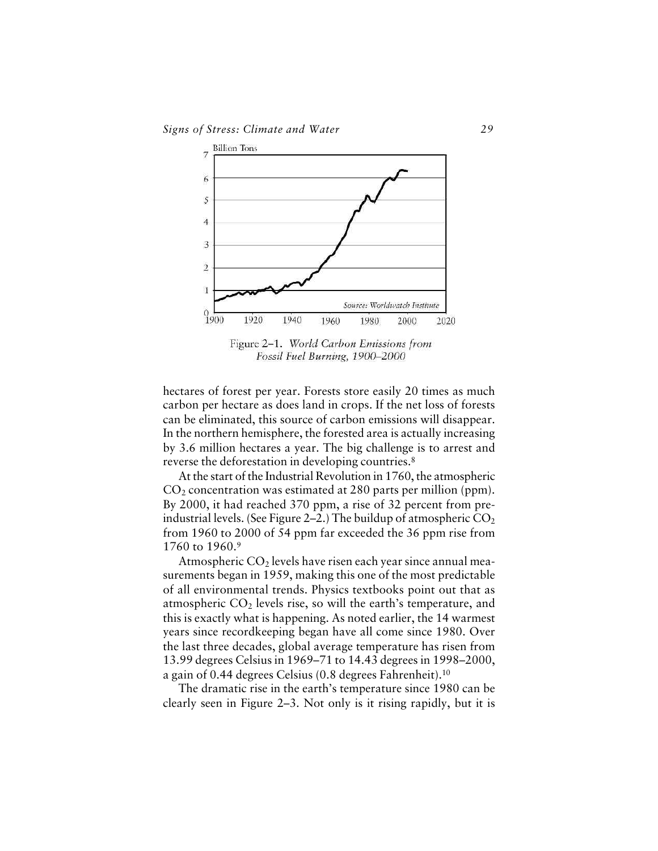

Figure 2-1. World Carbon Emissions from Fossil Fuel Burning, 1900-2000

hectares of forest per year. Forests store easily 20 times as much carbon per hectare as does land in crops. If the net loss of forests can be eliminated, this source of carbon emissions will disappear. In the northern hemisphere, the forested area is actually increasing by 3.6 million hectares a year. The big challenge is to arrest and reverse the deforestation in developing countries.<sup>8</sup>

At the start of the Industrial Revolution in 1760, the atmospheric CO2 concentration was estimated at 280 parts per million (ppm). By 2000, it had reached 370 ppm, a rise of 32 percent from preindustrial levels. (See Figure 2–2.) The buildup of atmospheric  $CO<sub>2</sub>$ from 1960 to 2000 of 54 ppm far exceeded the 36 ppm rise from 1760 to 1960.<sup>9</sup>

Atmospheric  $CO<sub>2</sub>$  levels have risen each year since annual measurements began in 1959, making this one of the most predictable of all environmental trends. Physics textbooks point out that as atmospheric  $CO<sub>2</sub>$  levels rise, so will the earth's temperature, and this is exactly what is happening. As noted earlier, the 14 warmest years since recordkeeping began have all come since 1980. Over the last three decades, global average temperature has risen from 13.99 degrees Celsius in 1969–71 to 14.43 degrees in 1998–2000, a gain of 0.44 degrees Celsius (0.8 degrees Fahrenheit).<sup>10</sup>

The dramatic rise in the earth's temperature since 1980 can be clearly seen in Figure 2–3. Not only is it rising rapidly, but it is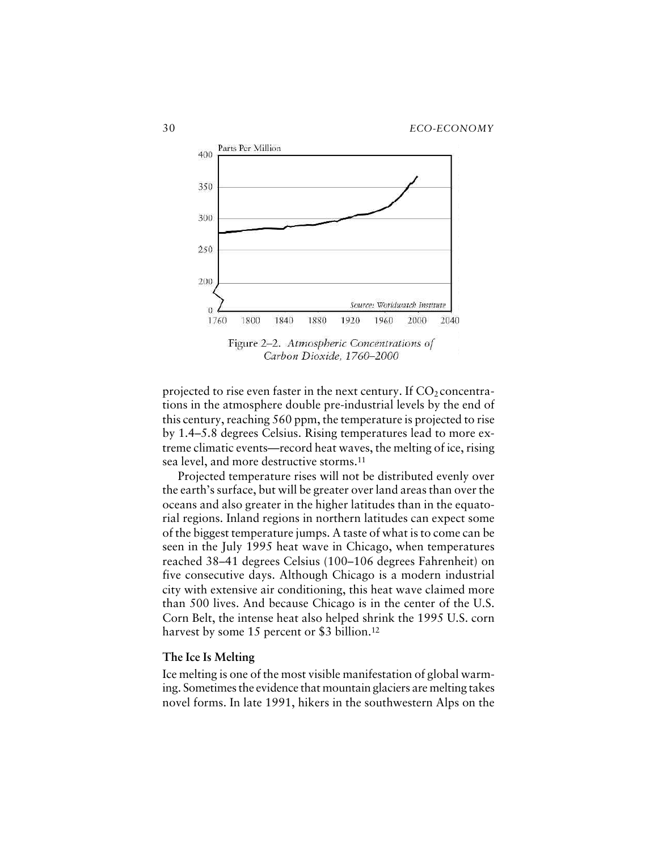

projected to rise even faster in the next century. If  $CO<sub>2</sub>$  concentrations in the atmosphere double pre-industrial levels by the end of this century, reaching 560 ppm, the temperature is projected to rise by 1.4–5.8 degrees Celsius. Rising temperatures lead to more extreme climatic events—record heat waves, the melting of ice, rising sea level, and more destructive storms.<sup>11</sup>

Projected temperature rises will not be distributed evenly over the earth's surface, but will be greater over land areas than over the oceans and also greater in the higher latitudes than in the equatorial regions. Inland regions in northern latitudes can expect some of the biggest temperature jumps. A taste of what is to come can be seen in the July 1995 heat wave in Chicago, when temperatures reached 38–41 degrees Celsius (100–106 degrees Fahrenheit) on five consecutive days. Although Chicago is a modern industrial city with extensive air conditioning, this heat wave claimed more than 500 lives. And because Chicago is in the center of the U.S. Corn Belt, the intense heat also helped shrink the 1995 U.S. corn harvest by some 15 percent or \$3 billion.<sup>12</sup>

# **The Ice Is Melting**

Ice melting is one of the most visible manifestation of global warming. Sometimes the evidence that mountain glaciers are melting takes novel forms. In late 1991, hikers in the southwestern Alps on the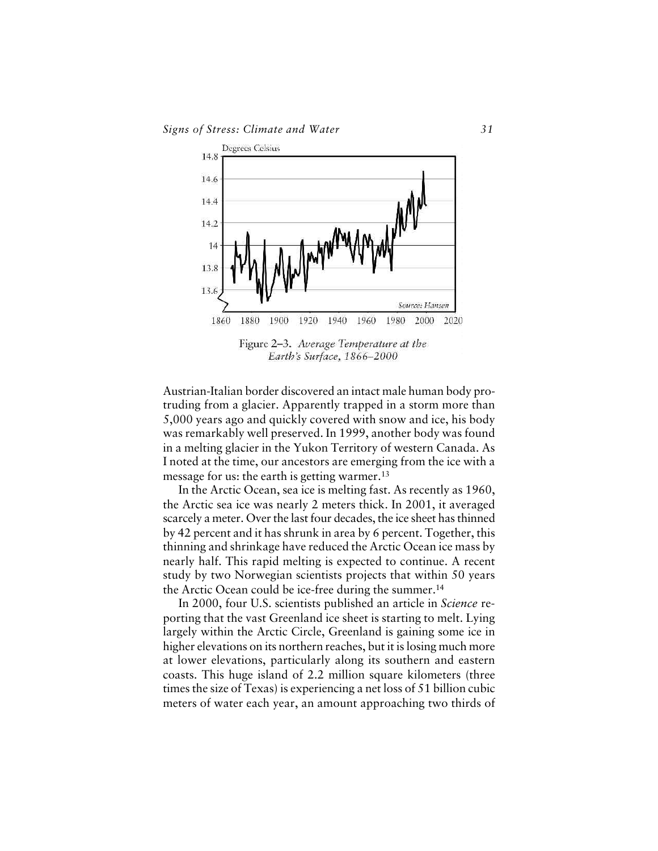

Austrian-Italian border discovered an intact male human body protruding from a glacier. Apparently trapped in a storm more than 5,000 years ago and quickly covered with snow and ice, his body was remarkably well preserved. In 1999, another body was found in a melting glacier in the Yukon Territory of western Canada. As I noted at the time, our ancestors are emerging from the ice with a message for us: the earth is getting warmer.<sup>13</sup>

In the Arctic Ocean, sea ice is melting fast. As recently as 1960, the Arctic sea ice was nearly 2 meters thick. In 2001, it averaged scarcely a meter. Over the last four decades, the ice sheet has thinned by 42 percent and it has shrunk in area by 6 percent. Together, this thinning and shrinkage have reduced the Arctic Ocean ice mass by nearly half. This rapid melting is expected to continue. A recent study by two Norwegian scientists projects that within 50 years the Arctic Ocean could be ice-free during the summer.<sup>14</sup>

In 2000, four U.S. scientists published an article in *Science* reporting that the vast Greenland ice sheet is starting to melt. Lying largely within the Arctic Circle, Greenland is gaining some ice in higher elevations on its northern reaches, but it is losing much more at lower elevations, particularly along its southern and eastern coasts. This huge island of 2.2 million square kilometers (three times the size of Texas) is experiencing a net loss of 51 billion cubic meters of water each year, an amount approaching two thirds of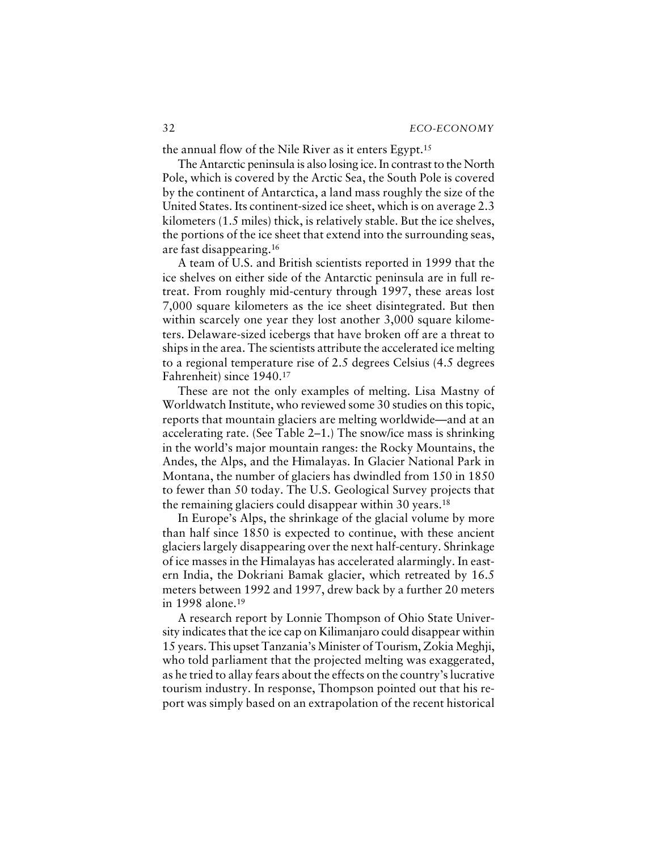the annual flow of the Nile River as it enters Egypt.<sup>15</sup>

The Antarctic peninsula is also losing ice. In contrast to the North Pole, which is covered by the Arctic Sea, the South Pole is covered by the continent of Antarctica, a land mass roughly the size of the United States. Its continent-sized ice sheet, which is on average 2.3 kilometers (1.5 miles) thick, is relatively stable. But the ice shelves, the portions of the ice sheet that extend into the surrounding seas, are fast disappearing.<sup>16</sup>

A team of U.S. and British scientists reported in 1999 that the ice shelves on either side of the Antarctic peninsula are in full retreat. From roughly mid-century through 1997, these areas lost 7,000 square kilometers as the ice sheet disintegrated. But then within scarcely one year they lost another 3,000 square kilometers. Delaware-sized icebergs that have broken off are a threat to ships in the area. The scientists attribute the accelerated ice melting to a regional temperature rise of 2.5 degrees Celsius (4.5 degrees Fahrenheit) since 1940.<sup>17</sup>

These are not the only examples of melting. Lisa Mastny of Worldwatch Institute, who reviewed some 30 studies on this topic, reports that mountain glaciers are melting worldwide—and at an accelerating rate. (See Table 2–1.) The snow/ice mass is shrinking in the world's major mountain ranges: the Rocky Mountains, the Andes, the Alps, and the Himalayas. In Glacier National Park in Montana, the number of glaciers has dwindled from 150 in 1850 to fewer than 50 today. The U.S. Geological Survey projects that the remaining glaciers could disappear within 30 years.<sup>18</sup>

In Europe's Alps, the shrinkage of the glacial volume by more than half since 1850 is expected to continue, with these ancient glaciers largely disappearing over the next half-century. Shrinkage of ice masses in the Himalayas has accelerated alarmingly. In eastern India, the Dokriani Bamak glacier, which retreated by 16.5 meters between 1992 and 1997, drew back by a further 20 meters in 1998 alone.<sup>19</sup>

A research report by Lonnie Thompson of Ohio State University indicates that the ice cap on Kilimanjaro could disappear within 15 years. This upset Tanzania's Minister of Tourism, Zokia Meghji, who told parliament that the projected melting was exaggerated, as he tried to allay fears about the effects on the country's lucrative tourism industry. In response, Thompson pointed out that his report was simply based on an extrapolation of the recent historical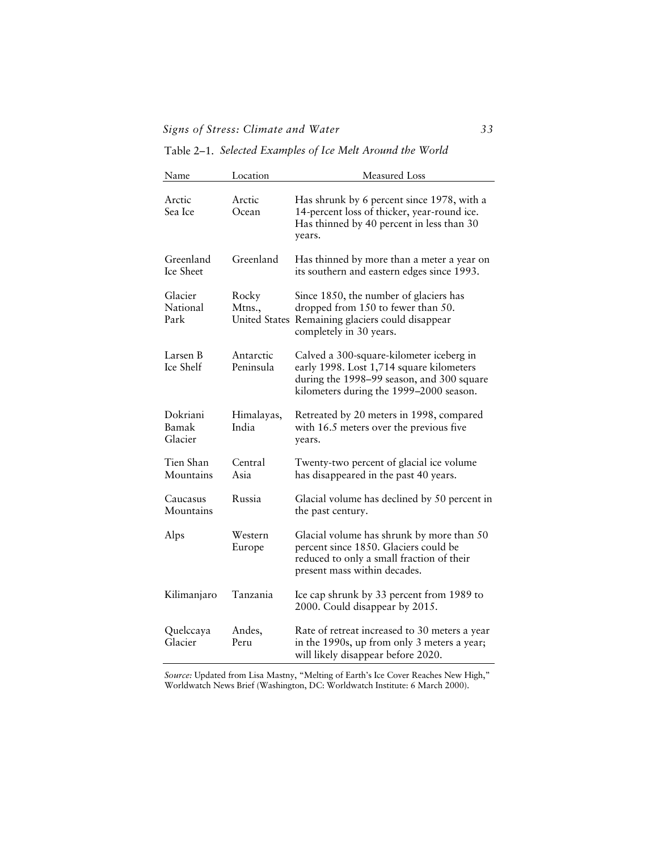Table 2–1. *Selected Examples of Ice Melt Around the World*

| Name                         | Location               | Measured Loss                                                                                                                                                                |
|------------------------------|------------------------|------------------------------------------------------------------------------------------------------------------------------------------------------------------------------|
| Arctic<br>Sea Ice            | Arctic<br>Ocean        | Has shrunk by 6 percent since 1978, with a<br>14-percent loss of thicker, year-round ice.<br>Has thinned by 40 percent in less than 30<br>years.                             |
| Greenland<br>Ice Sheet       | Greenland              | Has thinned by more than a meter a year on<br>its southern and eastern edges since 1993.                                                                                     |
| Glacier<br>National<br>Park  | Rocky<br>Mtns.,        | Since 1850, the number of glaciers has<br>dropped from 150 to fewer than 50.<br>United States Remaining glaciers could disappear<br>completely in 30 years.                  |
| Larsen B<br>Ice Shelf        | Antarctic<br>Peninsula | Calved a 300-square-kilometer iceberg in<br>early 1998. Lost 1,714 square kilometers<br>during the 1998–99 season, and 300 square<br>kilometers during the 1999-2000 season. |
| Dokriani<br>Bamak<br>Glacier | Himalayas,<br>India    | Retreated by 20 meters in 1998, compared<br>with 16.5 meters over the previous five<br>years.                                                                                |
| Tien Shan<br>Mountains       | Central<br>Asia        | Twenty-two percent of glacial ice volume<br>has disappeared in the past 40 years.                                                                                            |
| Caucasus<br>Mountains        | Russia                 | Glacial volume has declined by 50 percent in<br>the past century.                                                                                                            |
| Alps                         | Western<br>Europe      | Glacial volume has shrunk by more than 50<br>percent since 1850. Glaciers could be<br>reduced to only a small fraction of their<br>present mass within decades.              |
| Kilimanjaro                  | Tanzania               | Ice cap shrunk by 33 percent from 1989 to<br>2000. Could disappear by 2015.                                                                                                  |
| Quelccaya<br>Glacier         | Andes,<br>Peru         | Rate of retreat increased to 30 meters a year<br>in the 1990s, up from only 3 meters a year;<br>will likely disappear before 2020.                                           |

*Source:* Updated from Lisa Mastny, "Melting of Earth's Ice Cover Reaches New High," Worldwatch News Brief (Washington, DC: Worldwatch Institute: 6 March 2000).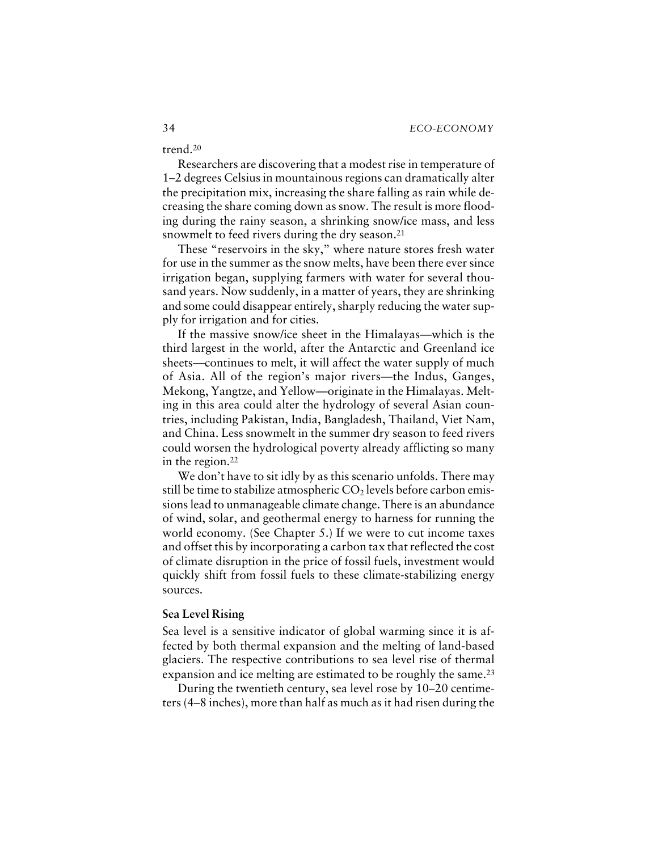trend.<sup>20</sup>

Researchers are discovering that a modest rise in temperature of 1–2 degrees Celsius in mountainous regions can dramatically alter the precipitation mix, increasing the share falling as rain while decreasing the share coming down as snow. The result is more flooding during the rainy season, a shrinking snow/ice mass, and less snowmelt to feed rivers during the dry season.<sup>21</sup>

These "reservoirs in the sky," where nature stores fresh water for use in the summer as the snow melts, have been there ever since irrigation began, supplying farmers with water for several thousand years. Now suddenly, in a matter of years, they are shrinking and some could disappear entirely, sharply reducing the water supply for irrigation and for cities.

If the massive snow/ice sheet in the Himalayas—which is the third largest in the world, after the Antarctic and Greenland ice sheets—continues to melt, it will affect the water supply of much of Asia. All of the region's major rivers—the Indus, Ganges, Mekong, Yangtze, and Yellow—originate in the Himalayas. Melting in this area could alter the hydrology of several Asian countries, including Pakistan, India, Bangladesh, Thailand, Viet Nam, and China. Less snowmelt in the summer dry season to feed rivers could worsen the hydrological poverty already afflicting so many in the region.<sup>22</sup>

We don't have to sit idly by as this scenario unfolds. There may still be time to stabilize atmospheric  $CO<sub>2</sub>$  levels before carbon emissions lead to unmanageable climate change. There is an abundance of wind, solar, and geothermal energy to harness for running the world economy. (See Chapter 5.) If we were to cut income taxes and offset this by incorporating a carbon tax that reflected the cost of climate disruption in the price of fossil fuels, investment would quickly shift from fossil fuels to these climate-stabilizing energy sources.

# **Sea Level Rising**

Sea level is a sensitive indicator of global warming since it is affected by both thermal expansion and the melting of land-based glaciers. The respective contributions to sea level rise of thermal expansion and ice melting are estimated to be roughly the same.<sup>23</sup>

During the twentieth century, sea level rose by 10–20 centimeters (4–8 inches), more than half as much as it had risen during the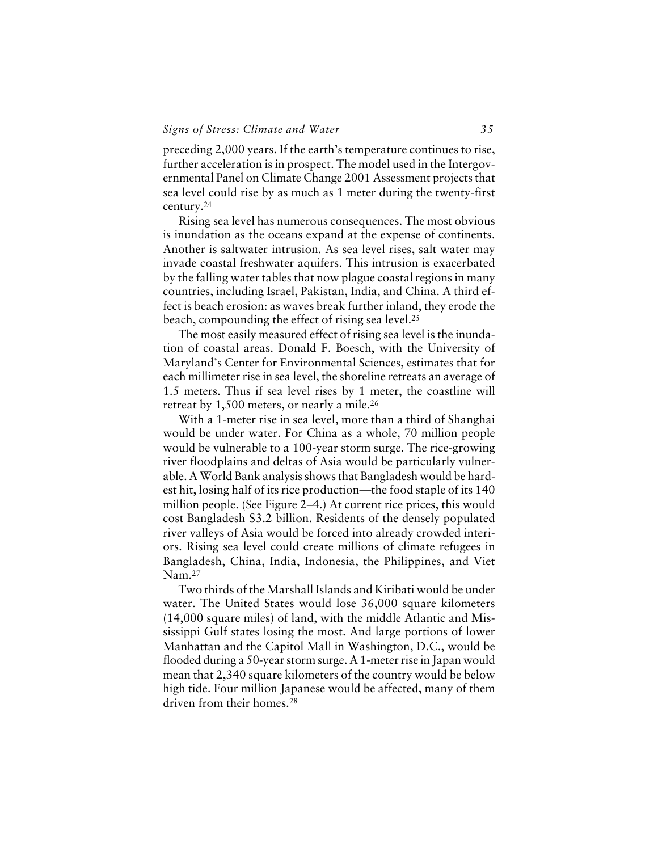preceding 2,000 years. If the earth's temperature continues to rise, further acceleration is in prospect. The model used in the Intergovernmental Panel on Climate Change 2001 Assessment projects that sea level could rise by as much as 1 meter during the twenty-first century.<sup>24</sup>

Rising sea level has numerous consequences. The most obvious is inundation as the oceans expand at the expense of continents. Another is saltwater intrusion. As sea level rises, salt water may invade coastal freshwater aquifers. This intrusion is exacerbated by the falling water tables that now plague coastal regions in many countries, including Israel, Pakistan, India, and China. A third effect is beach erosion: as waves break further inland, they erode the beach, compounding the effect of rising sea level.<sup>25</sup>

The most easily measured effect of rising sea level is the inundation of coastal areas. Donald F. Boesch, with the University of Maryland's Center for Environmental Sciences, estimates that for each millimeter rise in sea level, the shoreline retreats an average of 1.5 meters. Thus if sea level rises by 1 meter, the coastline will retreat by 1,500 meters, or nearly a mile.<sup>26</sup>

With a 1-meter rise in sea level, more than a third of Shanghai would be under water. For China as a whole, 70 million people would be vulnerable to a 100-year storm surge. The rice-growing river floodplains and deltas of Asia would be particularly vulnerable. A World Bank analysis shows that Bangladesh would be hardest hit, losing half of its rice production—the food staple of its 140 million people. (See Figure 2–4.) At current rice prices, this would cost Bangladesh \$3.2 billion. Residents of the densely populated river valleys of Asia would be forced into already crowded interiors. Rising sea level could create millions of climate refugees in Bangladesh, China, India, Indonesia, the Philippines, and Viet Nam.<sup>27</sup>

Two thirds of the Marshall Islands and Kiribati would be under water. The United States would lose 36,000 square kilometers (14,000 square miles) of land, with the middle Atlantic and Mississippi Gulf states losing the most. And large portions of lower Manhattan and the Capitol Mall in Washington, D.C., would be flooded during a 50-year storm surge. A 1-meter rise in Japan would mean that 2,340 square kilometers of the country would be below high tide. Four million Japanese would be affected, many of them driven from their homes.<sup>28</sup>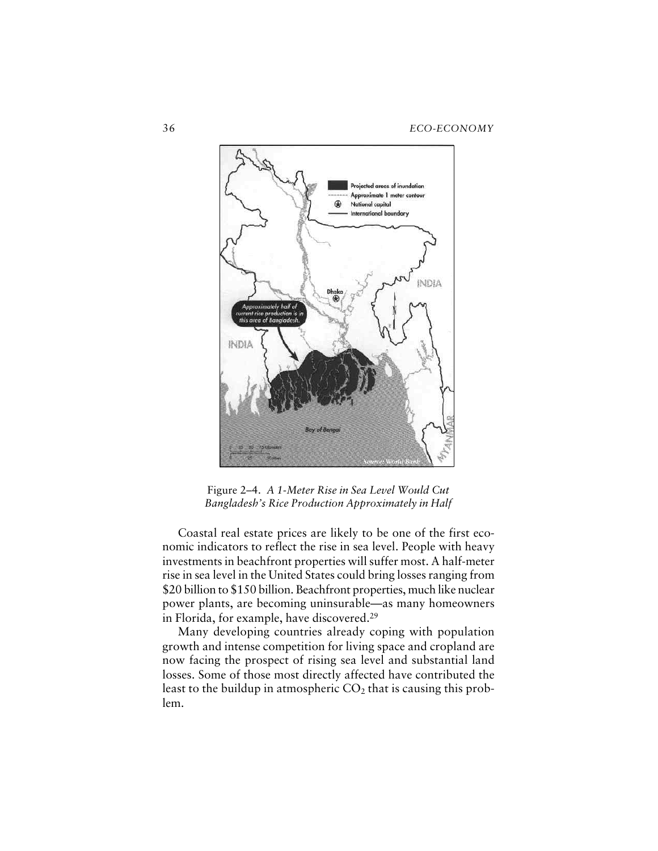

Figure 2–4. *A 1-Meter Rise in Sea Level Would Cut Bangladesh's Rice Production Approximately in Half*

Coastal real estate prices are likely to be one of the first economic indicators to reflect the rise in sea level. People with heavy investments in beachfront properties will suffer most. A half-meter rise in sea level in the United States could bring losses ranging from \$20 billion to \$150 billion. Beachfront properties, much like nuclear power plants, are becoming uninsurable—as many homeowners in Florida, for example, have discovered.<sup>29</sup>

Many developing countries already coping with population growth and intense competition for living space and cropland are now facing the prospect of rising sea level and substantial land losses. Some of those most directly affected have contributed the least to the buildup in atmospheric  $CO<sub>2</sub>$  that is causing this problem.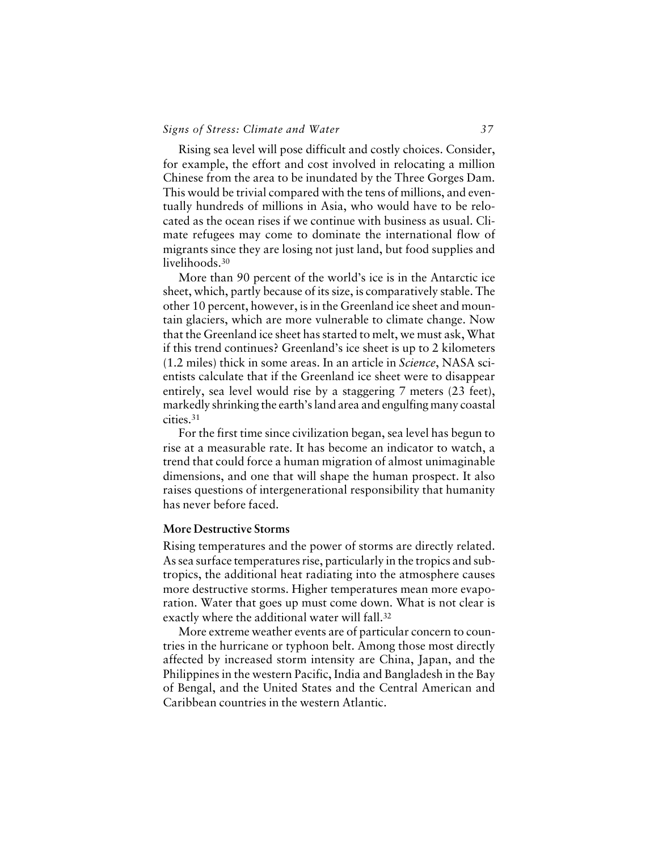Rising sea level will pose difficult and costly choices. Consider, for example, the effort and cost involved in relocating a million Chinese from the area to be inundated by the Three Gorges Dam. This would be trivial compared with the tens of millions, and eventually hundreds of millions in Asia, who would have to be relocated as the ocean rises if we continue with business as usual. Climate refugees may come to dominate the international flow of migrants since they are losing not just land, but food supplies and livelihoods.<sup>30</sup>

More than 90 percent of the world's ice is in the Antarctic ice sheet, which, partly because of its size, is comparatively stable. The other 10 percent, however, is in the Greenland ice sheet and mountain glaciers, which are more vulnerable to climate change. Now that the Greenland ice sheet has started to melt, we must ask, What if this trend continues? Greenland's ice sheet is up to 2 kilometers (1.2 miles) thick in some areas. In an article in *Science*, NASA scientists calculate that if the Greenland ice sheet were to disappear entirely, sea level would rise by a staggering 7 meters (23 feet), markedly shrinking the earth's land area and engulfing many coastal cities.<sup>31</sup>

For the first time since civilization began, sea level has begun to rise at a measurable rate. It has become an indicator to watch, a trend that could force a human migration of almost unimaginable dimensions, and one that will shape the human prospect. It also raises questions of intergenerational responsibility that humanity has never before faced.

#### **More Destructive Storms**

Rising temperatures and the power of storms are directly related. As sea surface temperatures rise, particularly in the tropics and subtropics, the additional heat radiating into the atmosphere causes more destructive storms. Higher temperatures mean more evaporation. Water that goes up must come down. What is not clear is exactly where the additional water will fall.<sup>32</sup>

More extreme weather events are of particular concern to countries in the hurricane or typhoon belt. Among those most directly affected by increased storm intensity are China, Japan, and the Philippines in the western Pacific, India and Bangladesh in the Bay of Bengal, and the United States and the Central American and Caribbean countries in the western Atlantic.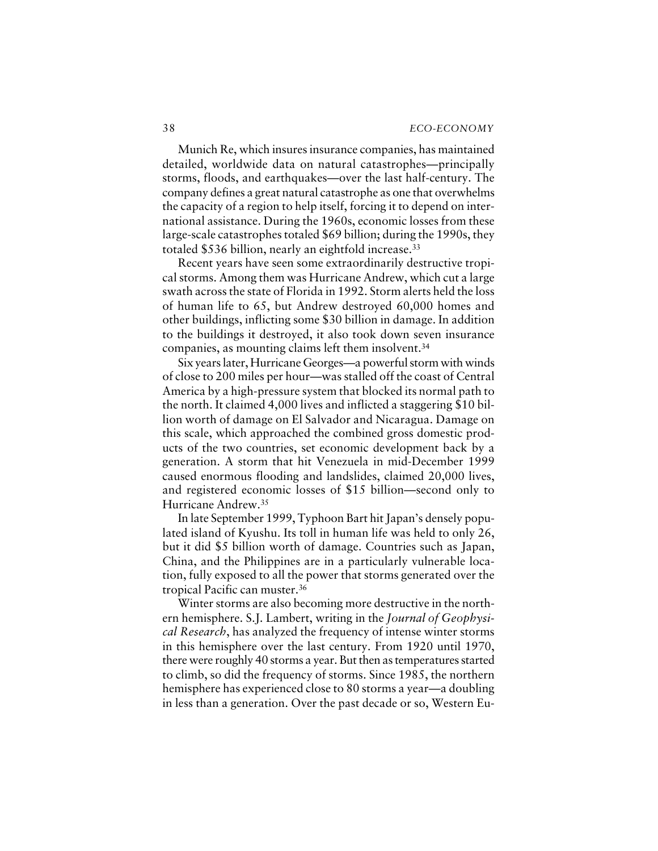#### 38 *ECO-ECONOMY*

Munich Re, which insures insurance companies, has maintained detailed, worldwide data on natural catastrophes—principally storms, floods, and earthquakes—over the last half-century. The company defines a great natural catastrophe as one that overwhelms the capacity of a region to help itself, forcing it to depend on international assistance. During the 1960s, economic losses from these large-scale catastrophes totaled \$69 billion; during the 1990s, they totaled \$536 billion, nearly an eightfold increase.<sup>33</sup>

Recent years have seen some extraordinarily destructive tropical storms. Among them was Hurricane Andrew, which cut a large swath across the state of Florida in 1992. Storm alerts held the loss of human life to 65, but Andrew destroyed 60,000 homes and other buildings, inflicting some \$30 billion in damage. In addition to the buildings it destroyed, it also took down seven insurance companies, as mounting claims left them insolvent.<sup>34</sup>

Six years later, Hurricane Georges—a powerful storm with winds of close to 200 miles per hour—was stalled off the coast of Central America by a high-pressure system that blocked its normal path to the north. It claimed 4,000 lives and inflicted a staggering \$10 billion worth of damage on El Salvador and Nicaragua. Damage on this scale, which approached the combined gross domestic products of the two countries, set economic development back by a generation. A storm that hit Venezuela in mid-December 1999 caused enormous flooding and landslides, claimed 20,000 lives, and registered economic losses of \$15 billion—second only to Hurricane Andrew.<sup>35</sup>

In late September 1999, Typhoon Bart hit Japan's densely populated island of Kyushu. Its toll in human life was held to only 26, but it did \$5 billion worth of damage. Countries such as Japan, China, and the Philippines are in a particularly vulnerable location, fully exposed to all the power that storms generated over the tropical Pacific can muster.<sup>36</sup>

Winter storms are also becoming more destructive in the northern hemisphere. S.J. Lambert, writing in the *Journal of Geophysical Research*, has analyzed the frequency of intense winter storms in this hemisphere over the last century. From 1920 until 1970, there were roughly 40 storms a year. But then as temperatures started to climb, so did the frequency of storms. Since 1985, the northern hemisphere has experienced close to 80 storms a year—a doubling in less than a generation. Over the past decade or so, Western Eu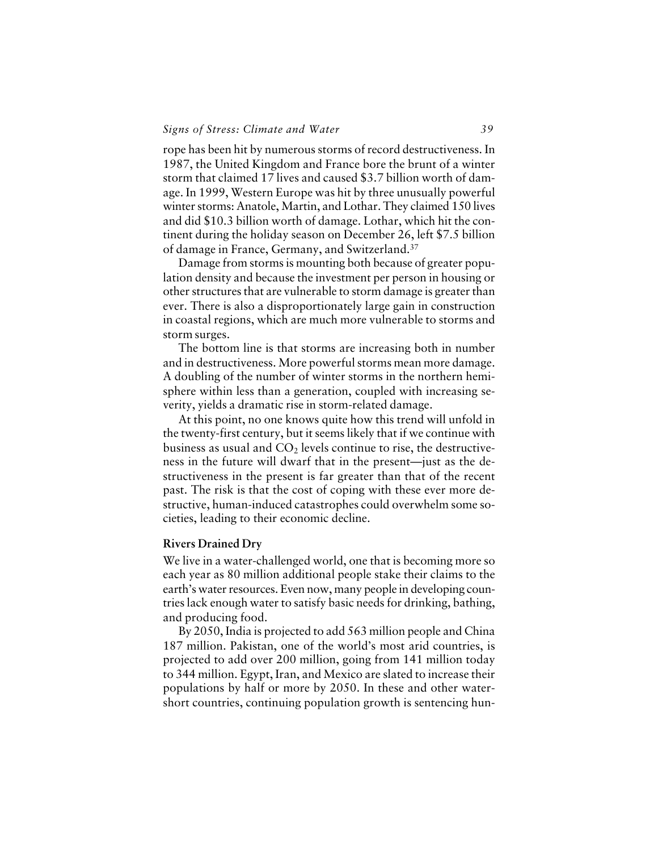rope has been hit by numerous storms of record destructiveness. In 1987, the United Kingdom and France bore the brunt of a winter storm that claimed 17 lives and caused \$3.7 billion worth of damage. In 1999, Western Europe was hit by three unusually powerful winter storms: Anatole, Martin, and Lothar. They claimed 150 lives and did \$10.3 billion worth of damage. Lothar, which hit the continent during the holiday season on December 26, left \$7.5 billion of damage in France, Germany, and Switzerland.<sup>37</sup>

Damage from storms is mounting both because of greater population density and because the investment per person in housing or other structures that are vulnerable to storm damage is greater than ever. There is also a disproportionately large gain in construction in coastal regions, which are much more vulnerable to storms and storm surges.

The bottom line is that storms are increasing both in number and in destructiveness. More powerful storms mean more damage. A doubling of the number of winter storms in the northern hemisphere within less than a generation, coupled with increasing severity, yields a dramatic rise in storm-related damage.

At this point, no one knows quite how this trend will unfold in the twenty-first century, but it seems likely that if we continue with business as usual and  $CO<sub>2</sub>$  levels continue to rise, the destructiveness in the future will dwarf that in the present—just as the destructiveness in the present is far greater than that of the recent past. The risk is that the cost of coping with these ever more destructive, human-induced catastrophes could overwhelm some societies, leading to their economic decline.

# **Rivers Drained Dry**

We live in a water-challenged world, one that is becoming more so each year as 80 million additional people stake their claims to the earth's water resources. Even now, many people in developing countries lack enough water to satisfy basic needs for drinking, bathing, and producing food.

By 2050, India is projected to add 563 million people and China 187 million. Pakistan, one of the world's most arid countries, is projected to add over 200 million, going from 141 million today to 344 million. Egypt, Iran, and Mexico are slated to increase their populations by half or more by 2050. In these and other watershort countries, continuing population growth is sentencing hun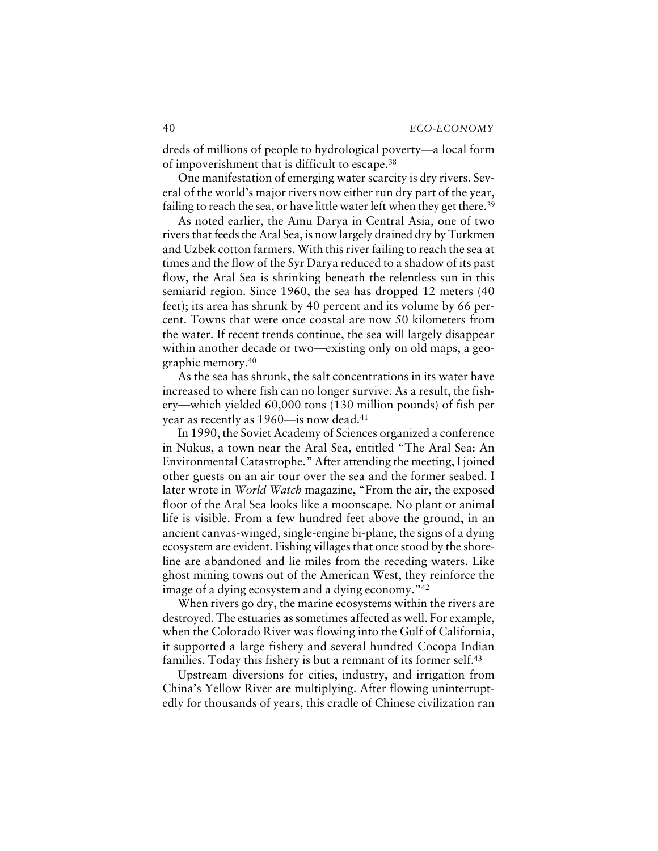dreds of millions of people to hydrological poverty—a local form of impoverishment that is difficult to escape.<sup>38</sup>

One manifestation of emerging water scarcity is dry rivers. Several of the world's major rivers now either run dry part of the year, failing to reach the sea, or have little water left when they get there.<sup>39</sup>

As noted earlier, the Amu Darya in Central Asia, one of two rivers that feeds the Aral Sea, is now largely drained dry by Turkmen and Uzbek cotton farmers. With this river failing to reach the sea at times and the flow of the Syr Darya reduced to a shadow of its past flow, the Aral Sea is shrinking beneath the relentless sun in this semiarid region. Since 1960, the sea has dropped 12 meters (40 feet); its area has shrunk by 40 percent and its volume by 66 percent. Towns that were once coastal are now 50 kilometers from the water. If recent trends continue, the sea will largely disappear within another decade or two—existing only on old maps, a geographic memory.<sup>40</sup>

As the sea has shrunk, the salt concentrations in its water have increased to where fish can no longer survive. As a result, the fishery—which yielded 60,000 tons (130 million pounds) of fish per year as recently as 1960—is now dead.<sup>41</sup>

In 1990, the Soviet Academy of Sciences organized a conference in Nukus, a town near the Aral Sea, entitled "The Aral Sea: An Environmental Catastrophe." After attending the meeting, I joined other guests on an air tour over the sea and the former seabed. I later wrote in *World Watch* magazine, "From the air, the exposed floor of the Aral Sea looks like a moonscape. No plant or animal life is visible. From a few hundred feet above the ground, in an ancient canvas-winged, single-engine bi-plane, the signs of a dying ecosystem are evident. Fishing villages that once stood by the shoreline are abandoned and lie miles from the receding waters. Like ghost mining towns out of the American West, they reinforce the image of a dying ecosystem and a dying economy."<sup>42</sup>

When rivers go dry, the marine ecosystems within the rivers are destroyed. The estuaries as sometimes affected as well. For example, when the Colorado River was flowing into the Gulf of California, it supported a large fishery and several hundred Cocopa Indian families. Today this fishery is but a remnant of its former self.<sup>43</sup>

Upstream diversions for cities, industry, and irrigation from China's Yellow River are multiplying. After flowing uninterruptedly for thousands of years, this cradle of Chinese civilization ran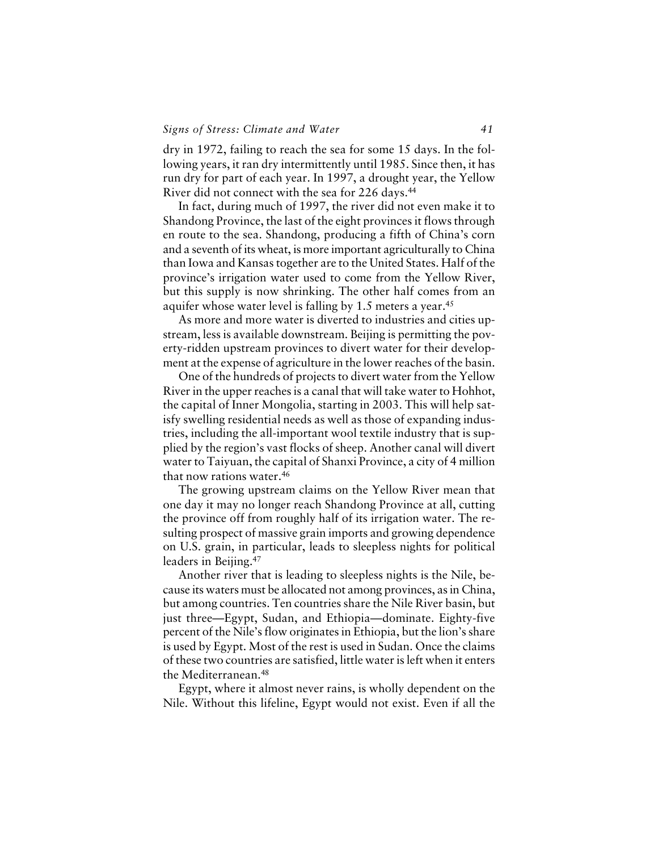dry in 1972, failing to reach the sea for some 15 days. In the following years, it ran dry intermittently until 1985. Since then, it has run dry for part of each year. In 1997, a drought year, the Yellow River did not connect with the sea for 226 days.<sup>44</sup>

In fact, during much of 1997, the river did not even make it to Shandong Province, the last of the eight provinces it flows through en route to the sea. Shandong, producing a fifth of China's corn and a seventh of its wheat, is more important agriculturally to China than Iowa and Kansas together are to the United States. Half of the province's irrigation water used to come from the Yellow River, but this supply is now shrinking. The other half comes from an aquifer whose water level is falling by 1.5 meters a year.<sup>45</sup>

As more and more water is diverted to industries and cities upstream, less is available downstream. Beijing is permitting the poverty-ridden upstream provinces to divert water for their development at the expense of agriculture in the lower reaches of the basin.

One of the hundreds of projects to divert water from the Yellow River in the upper reaches is a canal that will take water to Hohhot, the capital of Inner Mongolia, starting in 2003. This will help satisfy swelling residential needs as well as those of expanding industries, including the all-important wool textile industry that is supplied by the region's vast flocks of sheep. Another canal will divert water to Taiyuan, the capital of Shanxi Province, a city of 4 million that now rations water.<sup>46</sup>

The growing upstream claims on the Yellow River mean that one day it may no longer reach Shandong Province at all, cutting the province off from roughly half of its irrigation water. The resulting prospect of massive grain imports and growing dependence on U.S. grain, in particular, leads to sleepless nights for political leaders in Beijing.<sup>47</sup>

Another river that is leading to sleepless nights is the Nile, because its waters must be allocated not among provinces, as in China, but among countries. Ten countries share the Nile River basin, but just three—Egypt, Sudan, and Ethiopia—dominate. Eighty-five percent of the Nile's flow originates in Ethiopia, but the lion's share is used by Egypt. Most of the rest is used in Sudan. Once the claims of these two countries are satisfied, little water is left when it enters the Mediterranean.<sup>48</sup>

Egypt, where it almost never rains, is wholly dependent on the Nile. Without this lifeline, Egypt would not exist. Even if all the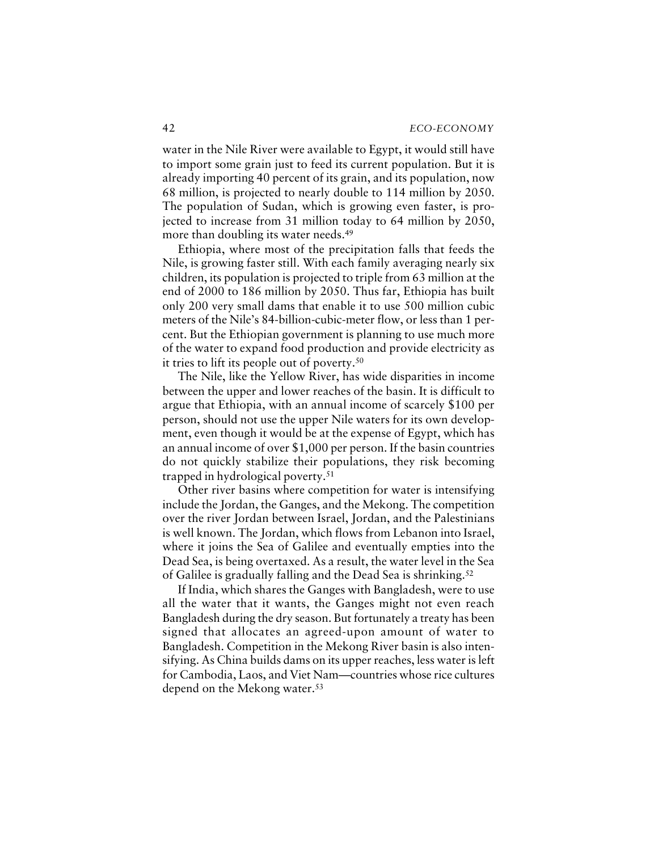water in the Nile River were available to Egypt, it would still have to import some grain just to feed its current population. But it is already importing 40 percent of its grain, and its population, now 68 million, is projected to nearly double to 114 million by 2050. The population of Sudan, which is growing even faster, is projected to increase from 31 million today to 64 million by 2050, more than doubling its water needs.<sup>49</sup>

Ethiopia, where most of the precipitation falls that feeds the Nile, is growing faster still. With each family averaging nearly six children, its population is projected to triple from 63 million at the end of 2000 to 186 million by 2050. Thus far, Ethiopia has built only 200 very small dams that enable it to use 500 million cubic meters of the Nile's 84-billion-cubic-meter flow, or less than 1 percent. But the Ethiopian government is planning to use much more of the water to expand food production and provide electricity as it tries to lift its people out of poverty.<sup>50</sup>

The Nile, like the Yellow River, has wide disparities in income between the upper and lower reaches of the basin. It is difficult to argue that Ethiopia, with an annual income of scarcely \$100 per person, should not use the upper Nile waters for its own development, even though it would be at the expense of Egypt, which has an annual income of over \$1,000 per person. If the basin countries do not quickly stabilize their populations, they risk becoming trapped in hydrological poverty.<sup>51</sup>

Other river basins where competition for water is intensifying include the Jordan, the Ganges, and the Mekong. The competition over the river Jordan between Israel, Jordan, and the Palestinians is well known. The Jordan, which flows from Lebanon into Israel, where it joins the Sea of Galilee and eventually empties into the Dead Sea, is being overtaxed. As a result, the water level in the Sea of Galilee is gradually falling and the Dead Sea is shrinking.<sup>52</sup>

If India, which shares the Ganges with Bangladesh, were to use all the water that it wants, the Ganges might not even reach Bangladesh during the dry season. But fortunately a treaty has been signed that allocates an agreed-upon amount of water to Bangladesh. Competition in the Mekong River basin is also intensifying. As China builds dams on its upper reaches, less water is left for Cambodia, Laos, and Viet Nam—countries whose rice cultures depend on the Mekong water.53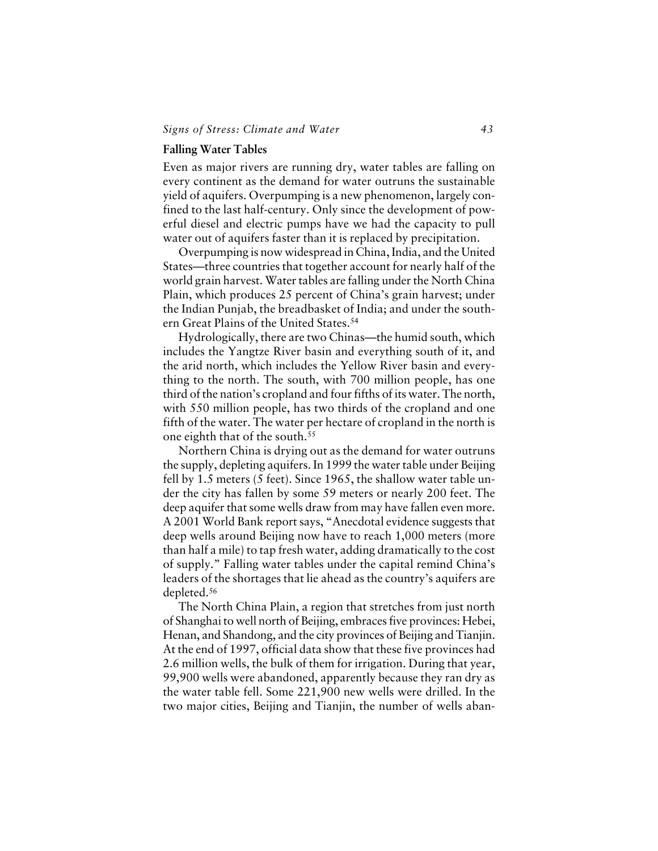# **Falling Water Tables**

Even as major rivers are running dry, water tables are falling on every continent as the demand for water outruns the sustainable yield of aquifers. Overpumping is a new phenomenon, largely confined to the last half-century. Only since the development of powerful diesel and electric pumps have we had the capacity to pull water out of aquifers faster than it is replaced by precipitation.

Overpumping is now widespread in China, India, and the United States—three countries that together account for nearly half of the world grain harvest. Water tables are falling under the North China Plain, which produces 25 percent of China's grain harvest; under the Indian Punjab, the breadbasket of India; and under the southern Great Plains of the United States.<sup>54</sup>

Hydrologically, there are two Chinas—the humid south, which includes the Yangtze River basin and everything south of it, and the arid north, which includes the Yellow River basin and everything to the north. The south, with 700 million people, has one third of the nation's cropland and four fifths of its water. The north, with 550 million people, has two thirds of the cropland and one fifth of the water. The water per hectare of cropland in the north is one eighth that of the south.<sup>55</sup>

Northern China is drying out as the demand for water outruns the supply, depleting aquifers. In 1999 the water table under Beijing fell by 1.5 meters (5 feet). Since 1965, the shallow water table under the city has fallen by some 59 meters or nearly 200 feet. The deep aquifer that some wells draw from may have fallen even more. A 2001 World Bank report says, "Anecdotal evidence suggests that deep wells around Beijing now have to reach 1,000 meters (more than half a mile) to tap fresh water, adding dramatically to the cost of supply." Falling water tables under the capital remind China's leaders of the shortages that lie ahead as the country's aquifers are depleted.<sup>56</sup>

The North China Plain, a region that stretches from just north of Shanghai to well north of Beijing, embraces five provinces: Hebei, Henan, and Shandong, and the city provinces of Beijing and Tianjin. At the end of 1997, official data show that these five provinces had 2.6 million wells, the bulk of them for irrigation. During that year, 99,900 wells were abandoned, apparently because they ran dry as the water table fell. Some 221,900 new wells were drilled. In the two major cities, Beijing and Tianjin, the number of wells aban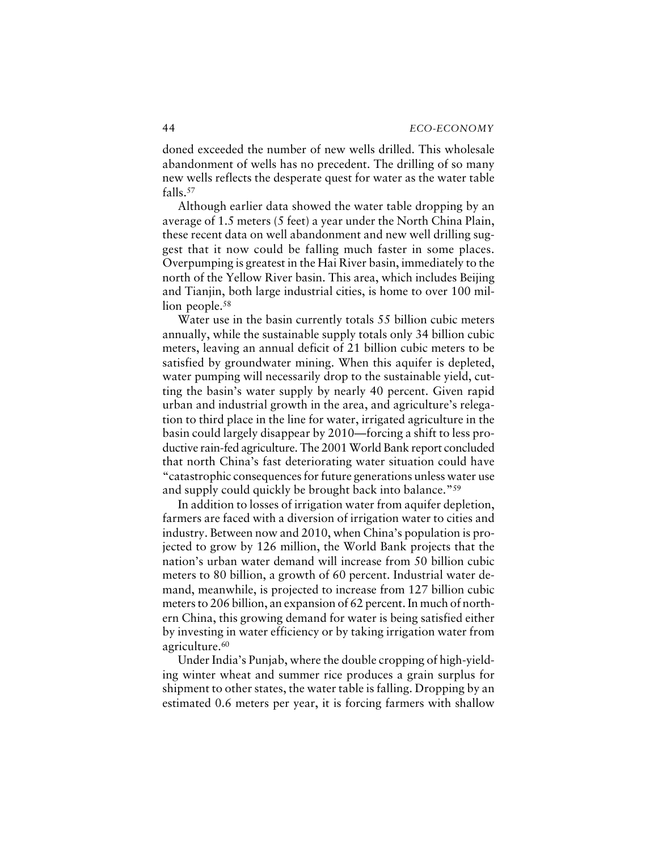doned exceeded the number of new wells drilled. This wholesale abandonment of wells has no precedent. The drilling of so many new wells reflects the desperate quest for water as the water table falls.<sup>57</sup>

Although earlier data showed the water table dropping by an average of 1.5 meters (5 feet) a year under the North China Plain, these recent data on well abandonment and new well drilling suggest that it now could be falling much faster in some places. Overpumping is greatest in the Hai River basin, immediately to the north of the Yellow River basin. This area, which includes Beijing and Tianjin, both large industrial cities, is home to over 100 million people.<sup>58</sup>

Water use in the basin currently totals 55 billion cubic meters annually, while the sustainable supply totals only 34 billion cubic meters, leaving an annual deficit of 21 billion cubic meters to be satisfied by groundwater mining. When this aquifer is depleted, water pumping will necessarily drop to the sustainable yield, cutting the basin's water supply by nearly 40 percent. Given rapid urban and industrial growth in the area, and agriculture's relegation to third place in the line for water, irrigated agriculture in the basin could largely disappear by 2010—forcing a shift to less productive rain-fed agriculture. The 2001 World Bank report concluded that north China's fast deteriorating water situation could have "catastrophic consequences for future generations unless water use and supply could quickly be brought back into balance."<sup>59</sup>

In addition to losses of irrigation water from aquifer depletion, farmers are faced with a diversion of irrigation water to cities and industry. Between now and 2010, when China's population is projected to grow by 126 million, the World Bank projects that the nation's urban water demand will increase from 50 billion cubic meters to 80 billion, a growth of 60 percent. Industrial water demand, meanwhile, is projected to increase from 127 billion cubic meters to 206 billion, an expansion of 62 percent. In much of northern China, this growing demand for water is being satisfied either by investing in water efficiency or by taking irrigation water from agriculture.<sup>60</sup>

Under India's Punjab, where the double cropping of high-yielding winter wheat and summer rice produces a grain surplus for shipment to other states, the water table is falling. Dropping by an estimated 0.6 meters per year, it is forcing farmers with shallow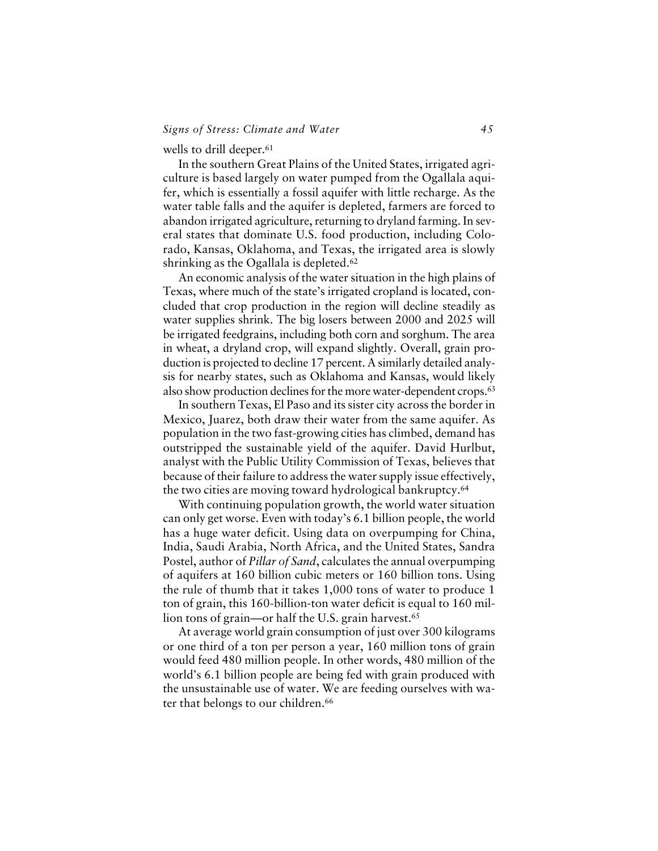#### wells to drill deeper.<sup>61</sup>

In the southern Great Plains of the United States, irrigated agriculture is based largely on water pumped from the Ogallala aquifer, which is essentially a fossil aquifer with little recharge. As the water table falls and the aquifer is depleted, farmers are forced to abandon irrigated agriculture, returning to dryland farming. In several states that dominate U.S. food production, including Colorado, Kansas, Oklahoma, and Texas, the irrigated area is slowly shrinking as the Ogallala is depleted.<sup>62</sup>

An economic analysis of the water situation in the high plains of Texas, where much of the state's irrigated cropland is located, concluded that crop production in the region will decline steadily as water supplies shrink. The big losers between 2000 and 2025 will be irrigated feedgrains, including both corn and sorghum. The area in wheat, a dryland crop, will expand slightly. Overall, grain production is projected to decline 17 percent. A similarly detailed analysis for nearby states, such as Oklahoma and Kansas, would likely also show production declines for the more water-dependent crops. 63

In southern Texas, El Paso and its sister city across the border in Mexico, Juarez, both draw their water from the same aquifer. As population in the two fast-growing cities has climbed, demand has outstripped the sustainable yield of the aquifer. David Hurlbut, analyst with the Public Utility Commission of Texas, believes that because of their failure to address the water supply issue effectively, the two cities are moving toward hydrological bankruptcy.<sup>64</sup>

With continuing population growth, the world water situation can only get worse. Even with today's 6.1 billion people, the world has a huge water deficit. Using data on overpumping for China, India, Saudi Arabia, North Africa, and the United States, Sandra Postel, author of *Pillar of Sand*, calculates the annual overpumping of aquifers at 160 billion cubic meters or 160 billion tons. Using the rule of thumb that it takes 1,000 tons of water to produce 1 ton of grain, this 160-billion-ton water deficit is equal to 160 million tons of grain—or half the U.S. grain harvest.<sup>65</sup>

At average world grain consumption of just over 300 kilograms or one third of a ton per person a year, 160 million tons of grain would feed 480 million people. In other words, 480 million of the world's 6.1 billion people are being fed with grain produced with the unsustainable use of water. We are feeding ourselves with water that belongs to our children.<sup>66</sup>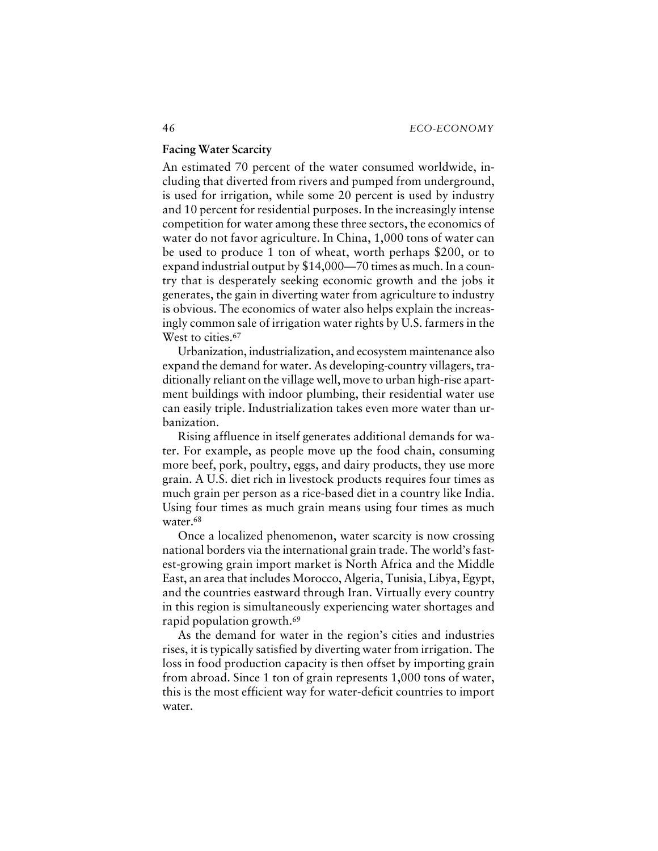# **Facing Water Scarcity**

An estimated 70 percent of the water consumed worldwide, including that diverted from rivers and pumped from underground, is used for irrigation, while some 20 percent is used by industry and 10 percent for residential purposes. In the increasingly intense competition for water among these three sectors, the economics of water do not favor agriculture. In China, 1,000 tons of water can be used to produce 1 ton of wheat, worth perhaps \$200, or to expand industrial output by \$14,000—70 times as much. In a country that is desperately seeking economic growth and the jobs it generates, the gain in diverting water from agriculture to industry is obvious. The economics of water also helps explain the increasingly common sale of irrigation water rights by U.S. farmers in the West to cities.<sup>67</sup>

Urbanization, industrialization, and ecosystem maintenance also expand the demand for water. As developing-country villagers, traditionally reliant on the village well, move to urban high-rise apartment buildings with indoor plumbing, their residential water use can easily triple. Industrialization takes even more water than urbanization.

Rising affluence in itself generates additional demands for water. For example, as people move up the food chain, consuming more beef, pork, poultry, eggs, and dairy products, they use more grain. A U.S. diet rich in livestock products requires four times as much grain per person as a rice-based diet in a country like India. Using four times as much grain means using four times as much water.<sup>68</sup>

Once a localized phenomenon, water scarcity is now crossing national borders via the international grain trade. The world's fastest-growing grain import market is North Africa and the Middle East, an area that includes Morocco, Algeria, Tunisia, Libya, Egypt, and the countries eastward through Iran. Virtually every country in this region is simultaneously experiencing water shortages and rapid population growth.<sup>69</sup>

As the demand for water in the region's cities and industries rises, it is typically satisfied by diverting water from irrigation. The loss in food production capacity is then offset by importing grain from abroad. Since 1 ton of grain represents 1,000 tons of water, this is the most efficient way for water-deficit countries to import water.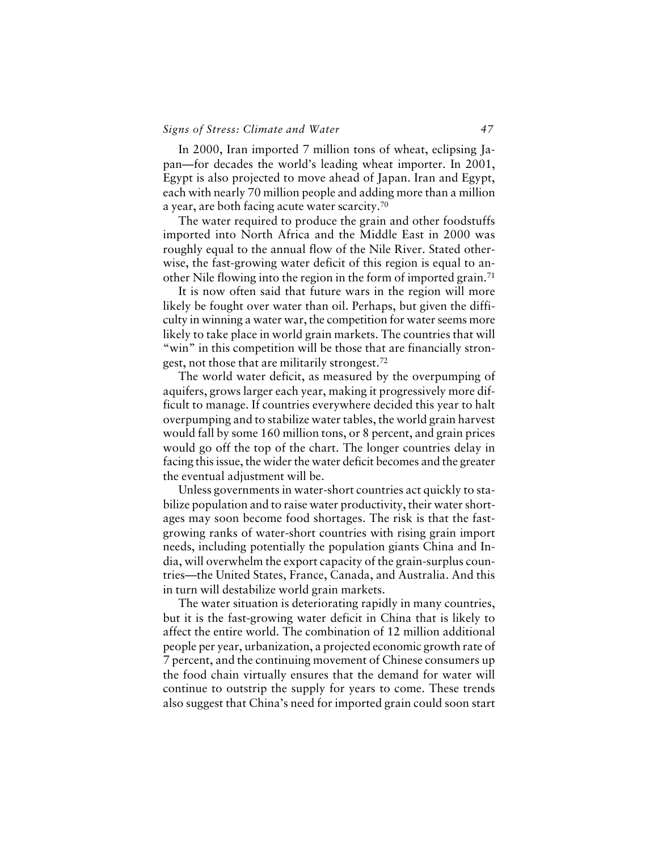In 2000, Iran imported 7 million tons of wheat, eclipsing Japan—for decades the world's leading wheat importer. In 2001, Egypt is also projected to move ahead of Japan. Iran and Egypt, each with nearly 70 million people and adding more than a million a year, are both facing acute water scarcity.<sup>70</sup>

The water required to produce the grain and other foodstuffs imported into North Africa and the Middle East in 2000 was roughly equal to the annual flow of the Nile River. Stated otherwise, the fast-growing water deficit of this region is equal to another Nile flowing into the region in the form of imported grain.<sup>71</sup>

It is now often said that future wars in the region will more likely be fought over water than oil. Perhaps, but given the difficulty in winning a water war, the competition for water seems more likely to take place in world grain markets. The countries that will "win" in this competition will be those that are financially strongest, not those that are militarily strongest.<sup>72</sup>

The world water deficit, as measured by the overpumping of aquifers, grows larger each year, making it progressively more difficult to manage. If countries everywhere decided this year to halt overpumping and to stabilize water tables, the world grain harvest would fall by some 160 million tons, or 8 percent, and grain prices would go off the top of the chart. The longer countries delay in facing this issue, the wider the water deficit becomes and the greater the eventual adjustment will be.

Unless governments in water-short countries act quickly to stabilize population and to raise water productivity, their water shortages may soon become food shortages. The risk is that the fastgrowing ranks of water-short countries with rising grain import needs, including potentially the population giants China and India, will overwhelm the export capacity of the grain-surplus countries—the United States, France, Canada, and Australia. And this in turn will destabilize world grain markets.

The water situation is deteriorating rapidly in many countries, but it is the fast-growing water deficit in China that is likely to affect the entire world. The combination of 12 million additional people per year, urbanization, a projected economic growth rate of 7 percent, and the continuing movement of Chinese consumers up the food chain virtually ensures that the demand for water will continue to outstrip the supply for years to come. These trends also suggest that China's need for imported grain could soon start